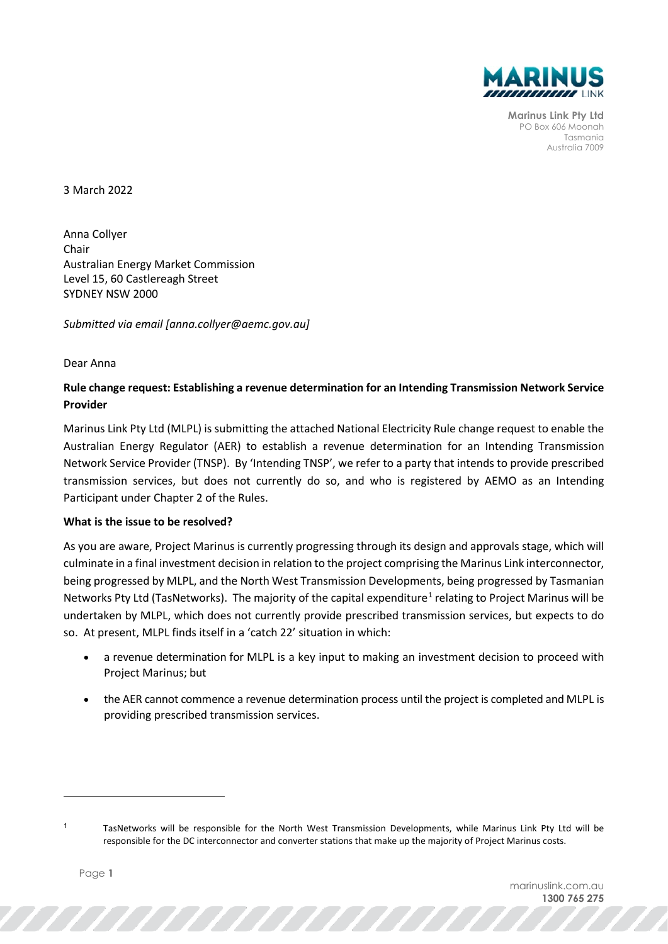

**Marinus Link Pty Ltd** PO Box 606 Moonah Tasmania Australia 7009

3 March 2022

Anna Collyer Chair Australian Energy Market Commission Level 15, 60 Castlereagh Street SYDNEY NSW 2000

*Submitted via email [anna.collyer@aemc.gov.au]*

Dear Anna

## **Rule change request: Establishing a revenue determination for an Intending Transmission Network Service Provider**

Marinus Link Pty Ltd (MLPL) is submitting the attached National Electricity Rule change request to enable the Australian Energy Regulator (AER) to establish a revenue determination for an Intending Transmission Network Service Provider (TNSP). By 'Intending TNSP', we refer to a party that intends to provide prescribed transmission services, but does not currently do so, and who is registered by AEMO as an Intending Participant under Chapter 2 of the Rules.

## **What is the issue to be resolved?**

As you are aware, Project Marinus is currently progressing through its design and approvals stage, which will culminate in a final investment decision in relation to the project comprising the Marinus Link interconnector, being progressed by MLPL, and the North West Transmission Developments, being progressed by Tasmanian Networks Pty Ltd (TasNetworks). The majority of the capital expenditure<sup>[1](#page-0-0)</sup> relating to Project Marinus will be undertaken by MLPL, which does not currently provide prescribed transmission services, but expects to do so. At present, MLPL finds itself in a 'catch 22' situation in which:

- a revenue determination for MLPL is a key input to making an investment decision to proceed with Project Marinus; but
- the AER cannot commence a revenue determination process until the project is completed and MLPL is providing prescribed transmission services.

,,,,,,,,,,,,,

<span id="page-0-0"></span> $1$  TasNetworks will be responsible for the North West Transmission Developments, while Marinus Link Pty Ltd will be responsible for the DC interconnector and converter stations that make up the majority of Project Marinus costs.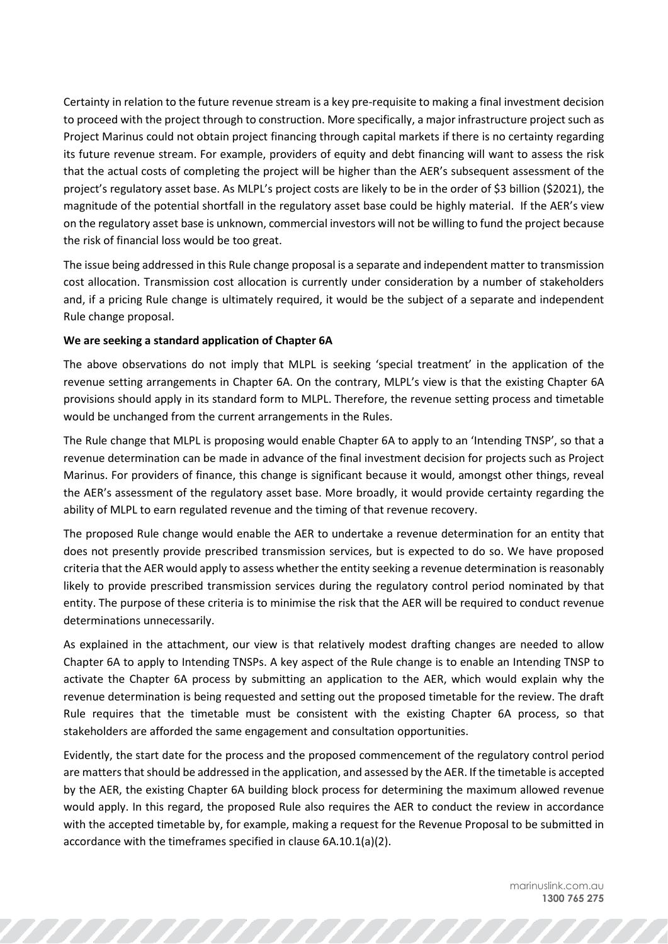Certainty in relation to the future revenue stream is a key pre-requisite to making a final investment decision to proceed with the project through to construction. More specifically, a major infrastructure project such as Project Marinus could not obtain project financing through capital markets if there is no certainty regarding its future revenue stream. For example, providers of equity and debt financing will want to assess the risk that the actual costs of completing the project will be higher than the AER's subsequent assessment of the project's regulatory asset base. As MLPL's project costs are likely to be in the order of \$3 billion (\$2021), the magnitude of the potential shortfall in the regulatory asset base could be highly material. If the AER's view on the regulatory asset base is unknown, commercial investors will not be willing to fund the project because the risk of financial loss would be too great.

The issue being addressed in this Rule change proposal is a separate and independent matter to transmission cost allocation. Transmission cost allocation is currently under consideration by a number of stakeholders and, if a pricing Rule change is ultimately required, it would be the subject of a separate and independent Rule change proposal.

## **We are seeking a standard application of Chapter 6A**

The above observations do not imply that MLPL is seeking 'special treatment' in the application of the revenue setting arrangements in Chapter 6A. On the contrary, MLPL's view is that the existing Chapter 6A provisions should apply in its standard form to MLPL. Therefore, the revenue setting process and timetable would be unchanged from the current arrangements in the Rules.

The Rule change that MLPL is proposing would enable Chapter 6A to apply to an 'Intending TNSP', so that a revenue determination can be made in advance of the final investment decision for projects such as Project Marinus. For providers of finance, this change is significant because it would, amongst other things, reveal the AER's assessment of the regulatory asset base. More broadly, it would provide certainty regarding the ability of MLPL to earn regulated revenue and the timing of that revenue recovery.

The proposed Rule change would enable the AER to undertake a revenue determination for an entity that does not presently provide prescribed transmission services, but is expected to do so. We have proposed criteria that the AER would apply to assess whether the entity seeking a revenue determination is reasonably likely to provide prescribed transmission services during the regulatory control period nominated by that entity. The purpose of these criteria is to minimise the risk that the AER will be required to conduct revenue determinations unnecessarily.

As explained in the attachment, our view is that relatively modest drafting changes are needed to allow Chapter 6A to apply to Intending TNSPs. A key aspect of the Rule change is to enable an Intending TNSP to activate the Chapter 6A process by submitting an application to the AER, which would explain why the revenue determination is being requested and setting out the proposed timetable for the review. The draft Rule requires that the timetable must be consistent with the existing Chapter 6A process, so that stakeholders are afforded the same engagement and consultation opportunities.

Evidently, the start date for the process and the proposed commencement of the regulatory control period are matters that should be addressed in the application, and assessed by the AER. If the timetable is accepted by the AER, the existing Chapter 6A building block process for determining the maximum allowed revenue would apply. In this regard, the proposed Rule also requires the AER to conduct the review in accordance with the accepted timetable by, for example, making a request for the Revenue Proposal to be submitted in accordance with the timeframes specified in clause 6A.10.1(a)(2).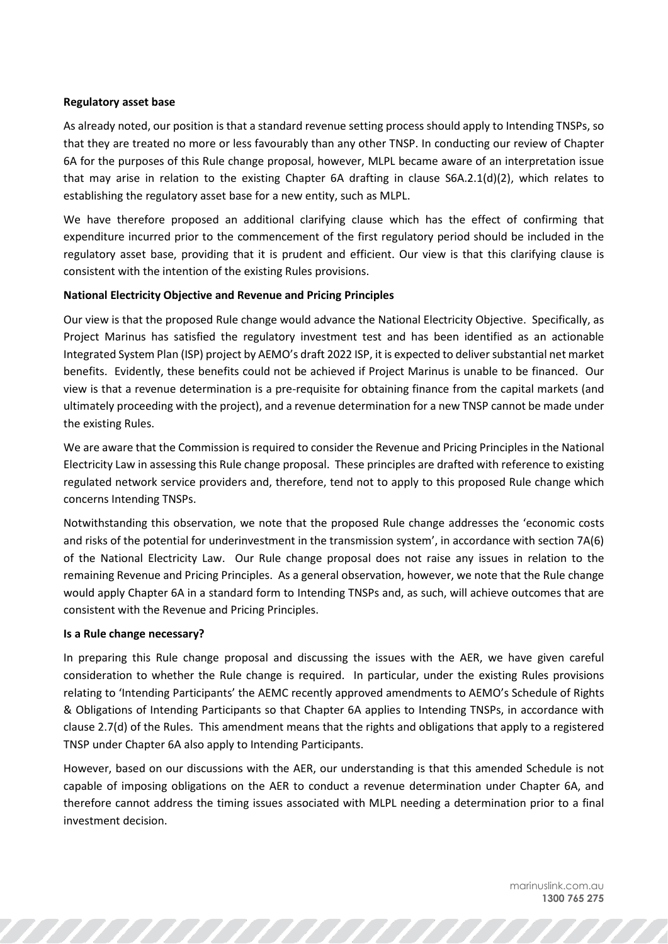## **Regulatory asset base**

As already noted, our position is that a standard revenue setting process should apply to Intending TNSPs, so that they are treated no more or less favourably than any other TNSP. In conducting our review of Chapter 6A for the purposes of this Rule change proposal, however, MLPL became aware of an interpretation issue that may arise in relation to the existing Chapter 6A drafting in clause  $S6A.2.1(d)(2)$ , which relates to establishing the regulatory asset base for a new entity, such as MLPL.

We have therefore proposed an additional clarifying clause which has the effect of confirming that expenditure incurred prior to the commencement of the first regulatory period should be included in the regulatory asset base, providing that it is prudent and efficient. Our view is that this clarifying clause is consistent with the intention of the existing Rules provisions.

## **National Electricity Objective and Revenue and Pricing Principles**

Our view is that the proposed Rule change would advance the National Electricity Objective. Specifically, as Project Marinus has satisfied the regulatory investment test and has been identified as an actionable Integrated System Plan (ISP) project by AEMO's draft 2022 ISP, it is expected to deliver substantial net market benefits. Evidently, these benefits could not be achieved if Project Marinus is unable to be financed. Our view is that a revenue determination is a pre-requisite for obtaining finance from the capital markets (and ultimately proceeding with the project), and a revenue determination for a new TNSP cannot be made under the existing Rules.

We are aware that the Commission is required to consider the Revenue and Pricing Principles in the National Electricity Law in assessing this Rule change proposal. These principles are drafted with reference to existing regulated network service providers and, therefore, tend not to apply to this proposed Rule change which concerns Intending TNSPs.

Notwithstanding this observation, we note that the proposed Rule change addresses the 'economic costs and risks of the potential for underinvestment in the transmission system', in accordance with section 7A(6) of the National Electricity Law. Our Rule change proposal does not raise any issues in relation to the remaining Revenue and Pricing Principles. As a general observation, however, we note that the Rule change would apply Chapter 6A in a standard form to Intending TNSPs and, as such, will achieve outcomes that are consistent with the Revenue and Pricing Principles.

## **Is a Rule change necessary?**

In preparing this Rule change proposal and discussing the issues with the AER, we have given careful consideration to whether the Rule change is required. In particular, under the existing Rules provisions relating to 'Intending Participants' the AEMC recently approved amendments to AEMO's Schedule of Rights & Obligations of Intending Participants so that Chapter 6A applies to Intending TNSPs, in accordance with clause 2.7(d) of the Rules. This amendment means that the rights and obligations that apply to a registered TNSP under Chapter 6A also apply to Intending Participants.

However, based on our discussions with the AER, our understanding is that this amended Schedule is not capable of imposing obligations on the AER to conduct a revenue determination under Chapter 6A, and therefore cannot address the timing issues associated with MLPL needing a determination prior to a final investment decision.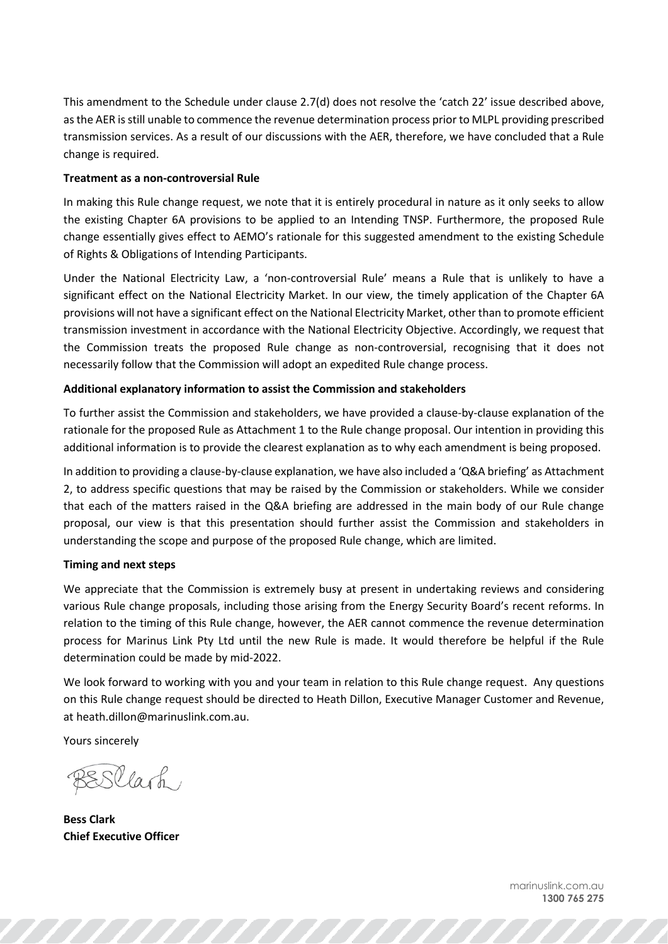This amendment to the Schedule under clause 2.7(d) does not resolve the 'catch 22' issue described above, as the AER is still unable to commence the revenue determination process prior to MLPL providing prescribed transmission services. As a result of our discussions with the AER, therefore, we have concluded that a Rule change is required.

## **Treatment as a non-controversial Rule**

In making this Rule change request, we note that it is entirely procedural in nature as it only seeks to allow the existing Chapter 6A provisions to be applied to an Intending TNSP. Furthermore, the proposed Rule change essentially gives effect to AEMO's rationale for this suggested amendment to the existing Schedule of Rights & Obligations of Intending Participants.

Under the National Electricity Law, a 'non-controversial Rule' means a Rule that is unlikely to have a significant effect on the National Electricity Market. In our view, the timely application of the Chapter 6A provisions will not have a significant effect on the National Electricity Market, other than to promote efficient transmission investment in accordance with the National Electricity Objective. Accordingly, we request that the Commission treats the proposed Rule change as non-controversial, recognising that it does not necessarily follow that the Commission will adopt an expedited Rule change process.

## **Additional explanatory information to assist the Commission and stakeholders**

To further assist the Commission and stakeholders, we have provided a clause-by-clause explanation of the rationale for the proposed Rule as Attachment 1 to the Rule change proposal. Our intention in providing this additional information is to provide the clearest explanation as to why each amendment is being proposed.

In addition to providing a clause-by-clause explanation, we have also included a 'Q&A briefing' as Attachment 2, to address specific questions that may be raised by the Commission or stakeholders. While we consider that each of the matters raised in the Q&A briefing are addressed in the main body of our Rule change proposal, our view is that this presentation should further assist the Commission and stakeholders in understanding the scope and purpose of the proposed Rule change, which are limited.

## **Timing and next steps**

We appreciate that the Commission is extremely busy at present in undertaking reviews and considering various Rule change proposals, including those arising from the Energy Security Board's recent reforms. In relation to the timing of this Rule change, however, the AER cannot commence the revenue determination process for Marinus Link Pty Ltd until the new Rule is made. It would therefore be helpful if the Rule determination could be made by mid-2022.

We look forward to working with you and your team in relation to this Rule change request. Any questions on this Rule change request should be directed to Heath Dillon, Executive Manager Customer and Revenue, at heath.dillon@marinuslink.com.au.

Yours sincerely

BESClark

**Bess Clark Chief Executive Officer**

marinuslink.com.au **1300 765 275**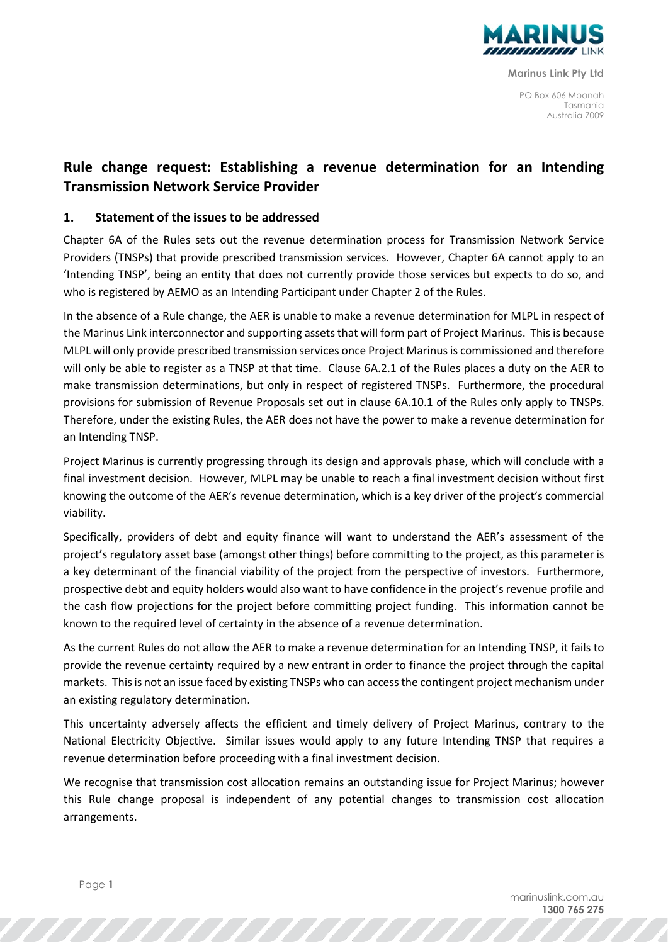

**Marinus Link Pty Ltd**

PO Box 606 Moonah Tasmania Australia 7009

# **Rule change request: Establishing a revenue determination for an Intending Transmission Network Service Provider**

## **1. Statement of the issues to be addressed**

Chapter 6A of the Rules sets out the revenue determination process for Transmission Network Service Providers (TNSPs) that provide prescribed transmission services. However, Chapter 6A cannot apply to an 'Intending TNSP', being an entity that does not currently provide those services but expects to do so, and who is registered by AEMO as an Intending Participant under Chapter 2 of the Rules.

In the absence of a Rule change, the AER is unable to make a revenue determination for MLPL in respect of the Marinus Link interconnector and supporting assets that will form part of Project Marinus. This is because MLPL will only provide prescribed transmission services once Project Marinus is commissioned and therefore will only be able to register as a TNSP at that time. Clause 6A.2.1 of the Rules places a duty on the AER to make transmission determinations, but only in respect of registered TNSPs. Furthermore, the procedural provisions for submission of Revenue Proposals set out in clause 6A.10.1 of the Rules only apply to TNSPs. Therefore, under the existing Rules, the AER does not have the power to make a revenue determination for an Intending TNSP.

Project Marinus is currently progressing through its design and approvals phase, which will conclude with a final investment decision. However, MLPL may be unable to reach a final investment decision without first knowing the outcome of the AER's revenue determination, which is a key driver of the project's commercial viability.

Specifically, providers of debt and equity finance will want to understand the AER's assessment of the project's regulatory asset base (amongst other things) before committing to the project, as this parameter is a key determinant of the financial viability of the project from the perspective of investors. Furthermore, prospective debt and equity holders would also want to have confidence in the project's revenue profile and the cash flow projections for the project before committing project funding. This information cannot be known to the required level of certainty in the absence of a revenue determination.

As the current Rules do not allow the AER to make a revenue determination for an Intending TNSP, it fails to provide the revenue certainty required by a new entrant in order to finance the project through the capital markets. This is not an issue faced by existing TNSPs who can access the contingent project mechanism under an existing regulatory determination.

This uncertainty adversely affects the efficient and timely delivery of Project Marinus, contrary to the National Electricity Objective. Similar issues would apply to any future Intending TNSP that requires a revenue determination before proceeding with a final investment decision.

We recognise that transmission cost allocation remains an outstanding issue for Project Marinus; however this Rule change proposal is independent of any potential changes to transmission cost allocation arrangements.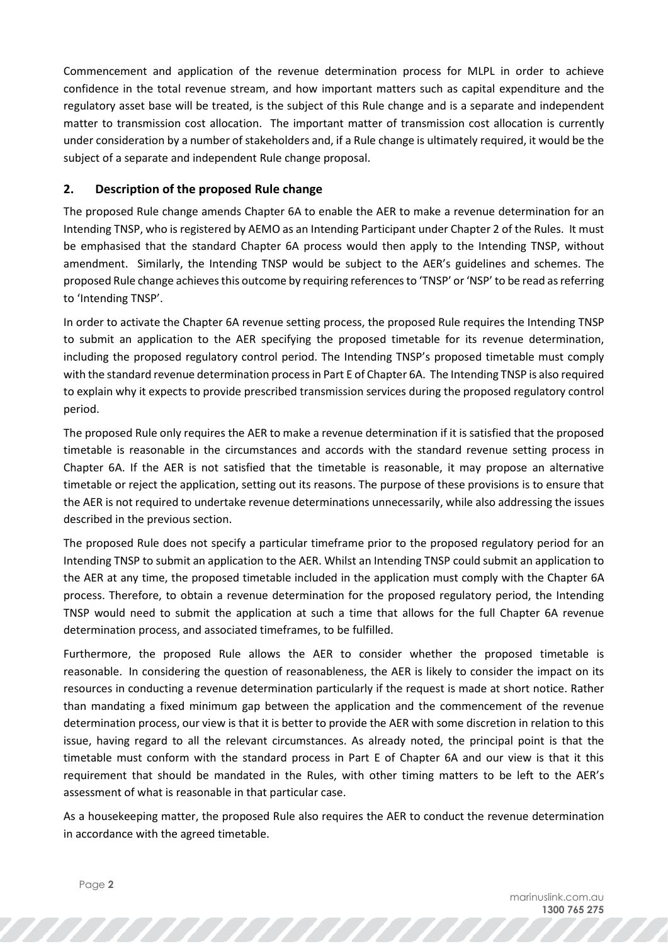Commencement and application of the revenue determination process for MLPL in order to achieve confidence in the total revenue stream, and how important matters such as capital expenditure and the regulatory asset base will be treated, is the subject of this Rule change and is a separate and independent matter to transmission cost allocation. The important matter of transmission cost allocation is currently under consideration by a number of stakeholders and, if a Rule change is ultimately required, it would be the subject of a separate and independent Rule change proposal.

## **2. Description of the proposed Rule change**

The proposed Rule change amends Chapter 6A to enable the AER to make a revenue determination for an Intending TNSP, who is registered by AEMO as an Intending Participant under Chapter 2 of the Rules. It must be emphasised that the standard Chapter 6A process would then apply to the Intending TNSP, without amendment. Similarly, the Intending TNSP would be subject to the AER's guidelines and schemes. The proposed Rule change achieves this outcome by requiring references to 'TNSP' or 'NSP' to be read as referring to 'Intending TNSP'.

In order to activate the Chapter 6A revenue setting process, the proposed Rule requires the Intending TNSP to submit an application to the AER specifying the proposed timetable for its revenue determination, including the proposed regulatory control period. The Intending TNSP's proposed timetable must comply with the standard revenue determination process in Part E of Chapter 6A. The Intending TNSP is also required to explain why it expects to provide prescribed transmission services during the proposed regulatory control period.

The proposed Rule only requires the AER to make a revenue determination if it is satisfied that the proposed timetable is reasonable in the circumstances and accords with the standard revenue setting process in Chapter 6A. If the AER is not satisfied that the timetable is reasonable, it may propose an alternative timetable or reject the application, setting out its reasons. The purpose of these provisions is to ensure that the AER is not required to undertake revenue determinations unnecessarily, while also addressing the issues described in the previous section.

The proposed Rule does not specify a particular timeframe prior to the proposed regulatory period for an Intending TNSP to submit an application to the AER. Whilst an Intending TNSP could submit an application to the AER at any time, the proposed timetable included in the application must comply with the Chapter 6A process. Therefore, to obtain a revenue determination for the proposed regulatory period, the Intending TNSP would need to submit the application at such a time that allows for the full Chapter 6A revenue determination process, and associated timeframes, to be fulfilled.

Furthermore, the proposed Rule allows the AER to consider whether the proposed timetable is reasonable. In considering the question of reasonableness, the AER is likely to consider the impact on its resources in conducting a revenue determination particularly if the request is made at short notice. Rather than mandating a fixed minimum gap between the application and the commencement of the revenue determination process, our view is that it is better to provide the AER with some discretion in relation to this issue, having regard to all the relevant circumstances. As already noted, the principal point is that the timetable must conform with the standard process in Part E of Chapter 6A and our view is that it this requirement that should be mandated in the Rules, with other timing matters to be left to the AER's assessment of what is reasonable in that particular case.

As a housekeeping matter, the proposed Rule also requires the AER to conduct the revenue determination in accordance with the agreed timetable.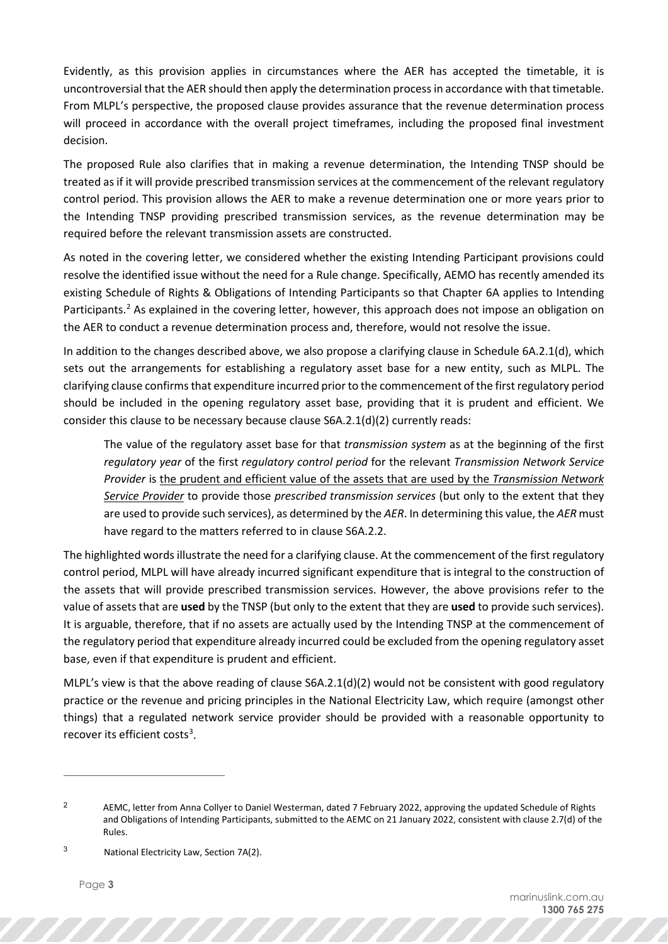Evidently, as this provision applies in circumstances where the AER has accepted the timetable, it is uncontroversial that the AER should then apply the determination process in accordance with that timetable. From MLPL's perspective, the proposed clause provides assurance that the revenue determination process will proceed in accordance with the overall project timeframes, including the proposed final investment decision.

The proposed Rule also clarifies that in making a revenue determination, the Intending TNSP should be treated as if it will provide prescribed transmission services at the commencement of the relevant regulatory control period. This provision allows the AER to make a revenue determination one or more years prior to the Intending TNSP providing prescribed transmission services, as the revenue determination may be required before the relevant transmission assets are constructed.

As noted in the covering letter, we considered whether the existing Intending Participant provisions could resolve the identified issue without the need for a Rule change. Specifically, AEMO has recently amended its existing Schedule of Rights & Obligations of Intending Participants so that Chapter 6A applies to Intending Participants.<sup>[2](#page-6-0)</sup> As explained in the covering letter, however, this approach does not impose an obligation on the AER to conduct a revenue determination process and, therefore, would not resolve the issue.

In addition to the changes described above, we also propose a clarifying clause in Schedule 6A.2.1(d), which sets out the arrangements for establishing a regulatory asset base for a new entity, such as MLPL. The clarifying clause confirms that expenditure incurred prior to the commencement of the first regulatory period should be included in the opening regulatory asset base, providing that it is prudent and efficient. We consider this clause to be necessary because clause S6A.2.1(d)(2) currently reads:

The value of the regulatory asset base for that *transmission system* as at the beginning of the first *regulatory year* of the first *regulatory control period* for the relevant *Transmission Network Service Provider* is the prudent and efficient value of the assets that are used by the *Transmission Network Service Provider* to provide those *prescribed transmission services* (but only to the extent that they are used to provide such services), as determined by the *AER*. In determining this value, the *AER* must have regard to the matters referred to in clause S6A.2.2.

The highlighted words illustrate the need for a clarifying clause. At the commencement of the first regulatory control period, MLPL will have already incurred significant expenditure that is integral to the construction of the assets that will provide prescribed transmission services. However, the above provisions refer to the value of assets that are **used** by the TNSP (but only to the extent that they are **used** to provide such services). It is arguable, therefore, that if no assets are actually used by the Intending TNSP at the commencement of the regulatory period that expenditure already incurred could be excluded from the opening regulatory asset base, even if that expenditure is prudent and efficient.

MLPL's view is that the above reading of clause S6A.2.1(d)(2) would not be consistent with good regulatory practice or the revenue and pricing principles in the National Electricity Law, which require (amongst other things) that a regulated network service provider should be provided with a reasonable opportunity to recover its efficient costs<sup>[3](#page-6-1)</sup>.

<span id="page-6-1"></span><sup>3</sup> National Electricity Law, Section 7A(2).

<span id="page-6-0"></span><sup>&</sup>lt;sup>2</sup> AEMC, letter from Anna Collyer to Daniel Westerman, dated 7 February 2022, approving the updated Schedule of Rights and Obligations of Intending Participants, submitted to the AEMC on 21 January 2022, consistent with clause 2.7(d) of the Rules.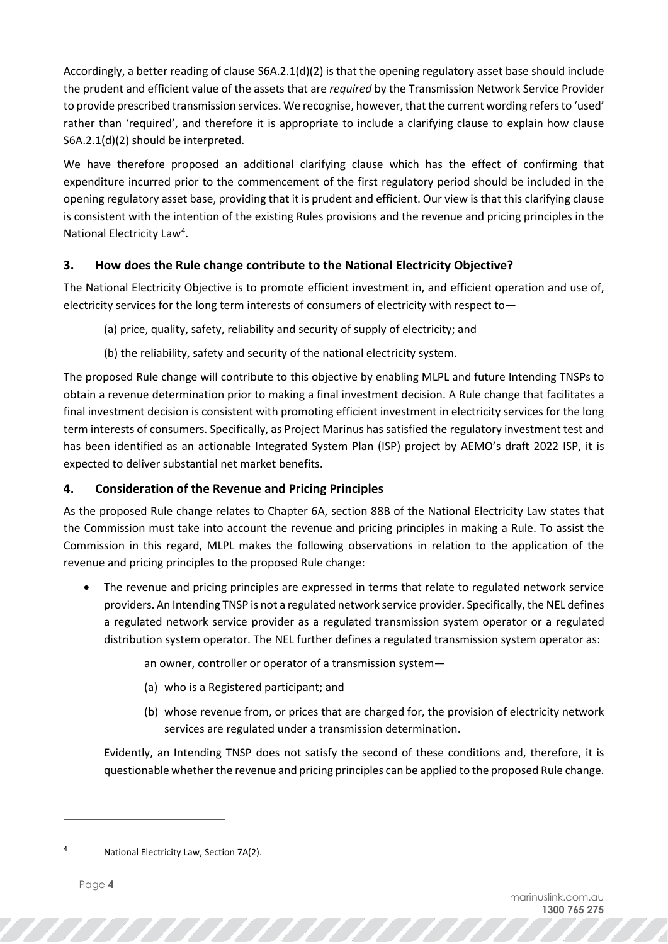Accordingly, a better reading of clause S6A.2.1(d)(2) is that the opening regulatory asset base should include the prudent and efficient value of the assets that are *required* by the Transmission Network Service Provider to provide prescribed transmission services. We recognise, however, that the current wording refers to 'used' rather than 'required', and therefore it is appropriate to include a clarifying clause to explain how clause S6A.2.1(d)(2) should be interpreted.

We have therefore proposed an additional clarifying clause which has the effect of confirming that expenditure incurred prior to the commencement of the first regulatory period should be included in the opening regulatory asset base, providing that it is prudent and efficient. Our view is that this clarifying clause is consistent with the intention of the existing Rules provisions and the revenue and pricing principles in the National Electricity Law<sup>[4](#page-7-0)</sup>.

# **3. How does the Rule change contribute to the National Electricity Objective?**

The National Electricity Objective is to promote efficient investment in, and efficient operation and use of, electricity services for the long term interests of consumers of electricity with respect to—

- (a) price, quality, safety, reliability and security of supply of electricity; and
- (b) the reliability, safety and security of the national electricity system.

The proposed Rule change will contribute to this objective by enabling MLPL and future Intending TNSPs to obtain a revenue determination prior to making a final investment decision. A Rule change that facilitates a final investment decision is consistent with promoting efficient investment in electricity services for the long term interests of consumers. Specifically, as Project Marinus has satisfied the regulatory investment test and has been identified as an actionable Integrated System Plan (ISP) project by AEMO's draft 2022 ISP, it is expected to deliver substantial net market benefits.

# **4. Consideration of the Revenue and Pricing Principles**

As the proposed Rule change relates to Chapter 6A, section 88B of the National Electricity Law states that the Commission must take into account the revenue and pricing principles in making a Rule. To assist the Commission in this regard, MLPL makes the following observations in relation to the application of the revenue and pricing principles to the proposed Rule change:

The revenue and pricing principles are expressed in terms that relate to regulated network service providers. An Intending TNSP is not a regulated network service provider. Specifically, the NEL defines a regulated network service provider as a regulated transmission system operator or a regulated distribution system operator. The NEL further defines a regulated transmission system operator as:

an owner, controller or operator of a transmission system—

- (a) who is a Registered participant; and
- (b) whose revenue from, or prices that are charged for, the provision of electricity network services are regulated under a transmission determination.

Evidently, an Intending TNSP does not satisfy the second of these conditions and, therefore, it is questionable whether the revenue and pricing principles can be applied to the proposed Rule change.

<span id="page-7-0"></span>

National Electricity Law, Section 7A(2).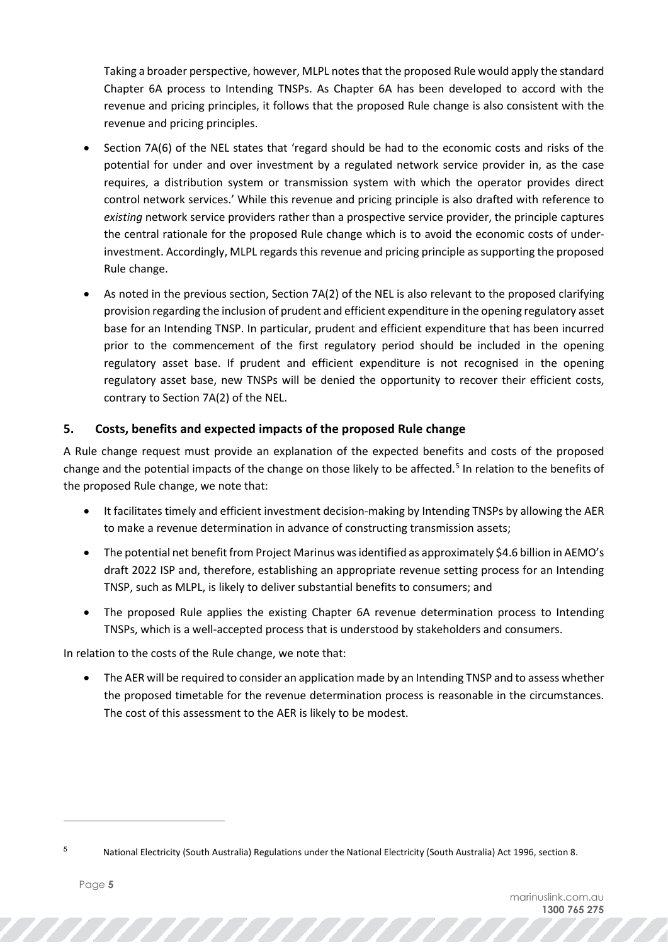Taking a broader perspective, however, MLPL notes that the proposed Rule would apply the standard Chapter 6A process to Intending TNSPs. As Chapter 6A has been developed to accord with the revenue and pricing principles, it follows that the proposed Rule change is also consistent with the revenue and pricing principles.

- Section 7A(6) of the NEL states that 'regard should be had to the economic costs and risks of the potential for under and over investment by a regulated network service provider in, as the case requires, a distribution system or transmission system with which the operator provides direct control network services.' While this revenue and pricing principle is also drafted with reference to *existing* network service providers rather than a prospective service provider, the principle captures the central rationale for the proposed Rule change which is to avoid the economic costs of underinvestment. Accordingly, MLPL regards this revenue and pricing principle as supporting the proposed Rule change.
- As noted in the previous section, Section 7A(2) of the NEL is also relevant to the proposed clarifying provision regarding the inclusion of prudent and efficient expenditure in the opening regulatory asset base for an Intending TNSP. In particular, prudent and efficient expenditure that has been incurred prior to the commencement of the first regulatory period should be included in the opening regulatory asset base. If prudent and efficient expenditure is not recognised in the opening regulatory asset base, new TNSPs will be denied the opportunity to recover their efficient costs, contrary to Section 7A(2) of the NEL.

# **5. Costs, benefits and expected impacts of the proposed Rule change**

A Rule change request must provide an explanation of the expected benefits and costs of the proposed change and the potential impacts of the change on those likely to be affected.<sup>[5](#page-8-0)</sup> In relation to the benefits of the proposed Rule change, we note that:

- It facilitates timely and efficient investment decision-making by Intending TNSPs by allowing the AER to make a revenue determination in advance of constructing transmission assets;
- The potential net benefit from Project Marinus was identified as approximately \$4.6 billion in AEMO's draft 2022 ISP and, therefore, establishing an appropriate revenue setting process for an Intending TNSP, such as MLPL, is likely to deliver substantial benefits to consumers; and
- The proposed Rule applies the existing Chapter 6A revenue determination process to Intending TNSPs, which is a well-accepted process that is understood by stakeholders and consumers.

In relation to the costs of the Rule change, we note that:

• The AER will be required to consider an application made by an Intending TNSP and to assess whether the proposed timetable for the revenue determination process is reasonable in the circumstances. The cost of this assessment to the AER is likely to be modest.

<span id="page-8-0"></span><sup>5</sup> National Electricity (South Australia) Regulations under the National Electricity (South Australia) Act 1996, section 8.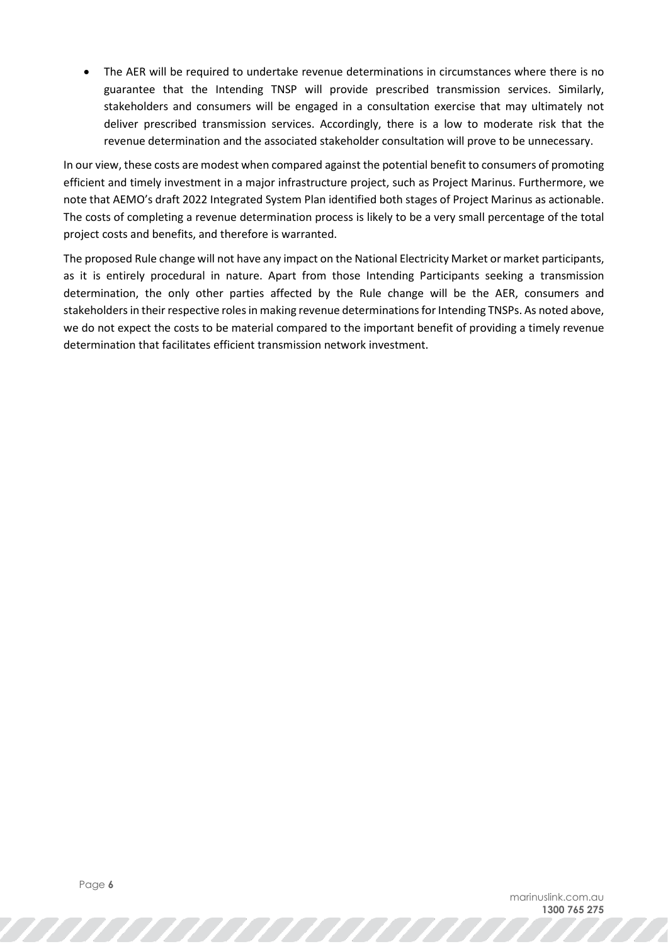• The AER will be required to undertake revenue determinations in circumstances where there is no guarantee that the Intending TNSP will provide prescribed transmission services. Similarly, stakeholders and consumers will be engaged in a consultation exercise that may ultimately not deliver prescribed transmission services. Accordingly, there is a low to moderate risk that the revenue determination and the associated stakeholder consultation will prove to be unnecessary.

In our view, these costs are modest when compared against the potential benefit to consumers of promoting efficient and timely investment in a major infrastructure project, such as Project Marinus. Furthermore, we note that AEMO's draft 2022 Integrated System Plan identified both stages of Project Marinus as actionable. The costs of completing a revenue determination process is likely to be a very small percentage of the total project costs and benefits, and therefore is warranted.

The proposed Rule change will not have any impact on the National Electricity Market or market participants, as it is entirely procedural in nature. Apart from those Intending Participants seeking a transmission determination, the only other parties affected by the Rule change will be the AER, consumers and stakeholders in their respective roles in making revenue determinations for Intending TNSPs. As noted above, we do not expect the costs to be material compared to the important benefit of providing a timely revenue determination that facilitates efficient transmission network investment.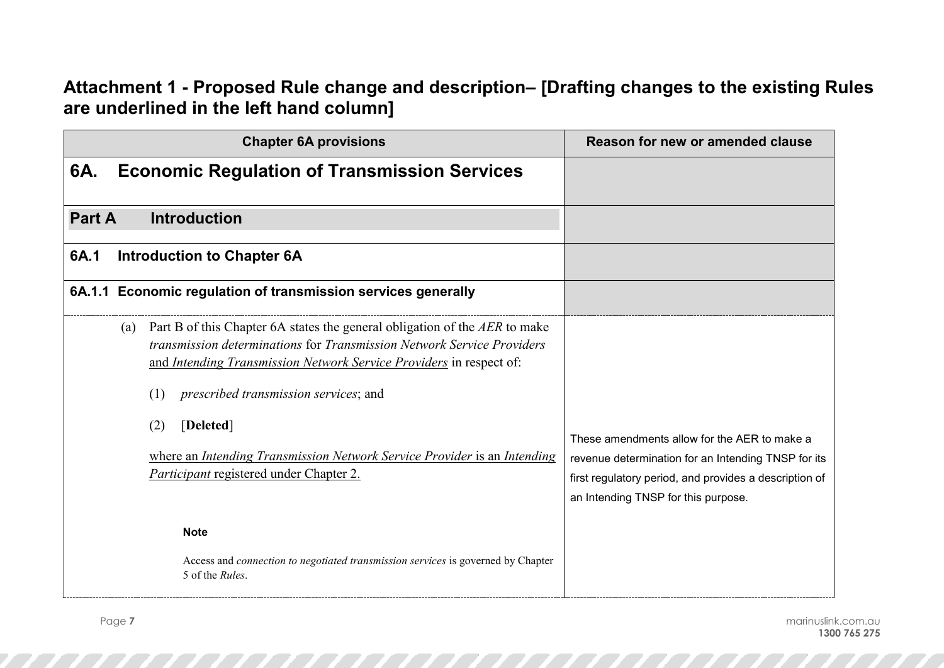# **Attachment 1 - Proposed Rule change and description– [Drafting changes to the existing Rules are underlined in the left hand column]**

| <b>Chapter 6A provisions</b>                                                                                                                                                                                                                                                                                                                                                                                                         | Reason for new or amended clause                                                                                                                                                                     |
|--------------------------------------------------------------------------------------------------------------------------------------------------------------------------------------------------------------------------------------------------------------------------------------------------------------------------------------------------------------------------------------------------------------------------------------|------------------------------------------------------------------------------------------------------------------------------------------------------------------------------------------------------|
| 6A.<br><b>Economic Regulation of Transmission Services</b>                                                                                                                                                                                                                                                                                                                                                                           |                                                                                                                                                                                                      |
| <b>Part A</b><br><b>Introduction</b>                                                                                                                                                                                                                                                                                                                                                                                                 |                                                                                                                                                                                                      |
| <b>Introduction to Chapter 6A</b><br>6A.1                                                                                                                                                                                                                                                                                                                                                                                            |                                                                                                                                                                                                      |
| 6A.1.1 Economic regulation of transmission services generally                                                                                                                                                                                                                                                                                                                                                                        |                                                                                                                                                                                                      |
| Part B of this Chapter 6A states the general obligation of the AER to make<br>(a)<br>transmission determinations for Transmission Network Service Providers<br>and Intending Transmission Network Service Providers in respect of:<br>prescribed transmission services; and<br>(1)<br>[Deleted]<br>(2)<br>where an Intending Transmission Network Service Provider is an Intending<br><i>Participant</i> registered under Chapter 2. | These amendments allow for the AER to make a<br>revenue determination for an Intending TNSP for its<br>first regulatory period, and provides a description of<br>an Intending TNSP for this purpose. |
| <b>Note</b><br>Access and connection to negotiated transmission services is governed by Chapter<br>5 of the Rules.                                                                                                                                                                                                                                                                                                                   |                                                                                                                                                                                                      |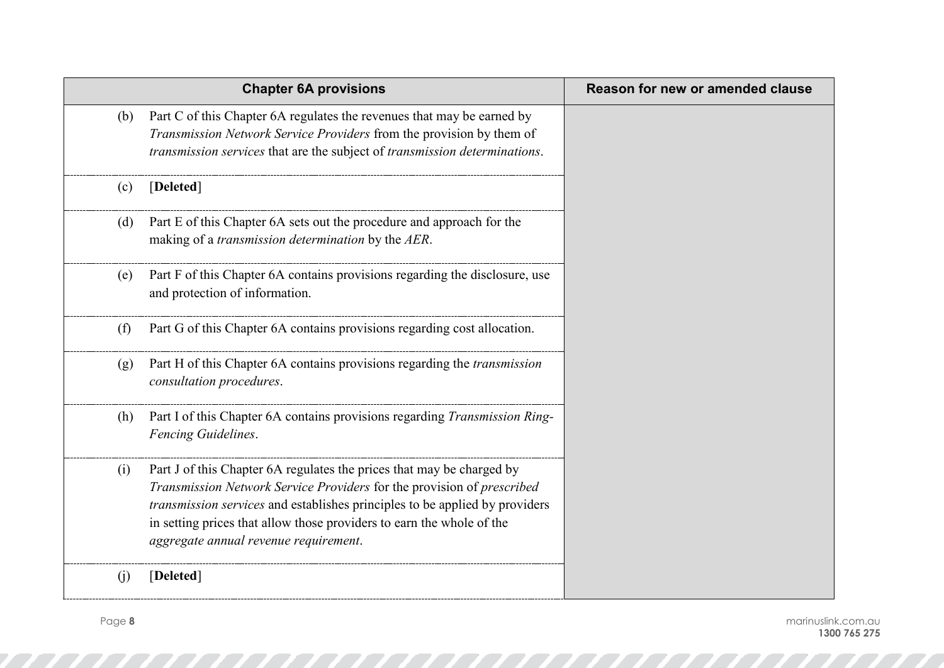|     | <b>Chapter 6A provisions</b>                                                                                                                                                                                                                                                                                                                     | Reason for new or amended clause |
|-----|--------------------------------------------------------------------------------------------------------------------------------------------------------------------------------------------------------------------------------------------------------------------------------------------------------------------------------------------------|----------------------------------|
| (b) | Part C of this Chapter 6A regulates the revenues that may be earned by<br>Transmission Network Service Providers from the provision by them of<br>transmission services that are the subject of transmission determinations.                                                                                                                     |                                  |
| (c) | [Deleted]                                                                                                                                                                                                                                                                                                                                        |                                  |
| (d) | Part E of this Chapter 6A sets out the procedure and approach for the<br>making of a transmission determination by the AER.                                                                                                                                                                                                                      |                                  |
| (e) | Part F of this Chapter 6A contains provisions regarding the disclosure, use<br>and protection of information.                                                                                                                                                                                                                                    |                                  |
| (f) | Part G of this Chapter 6A contains provisions regarding cost allocation.                                                                                                                                                                                                                                                                         |                                  |
| (g) | Part H of this Chapter 6A contains provisions regarding the <i>transmission</i><br>consultation procedures.                                                                                                                                                                                                                                      |                                  |
| (h) | Part I of this Chapter 6A contains provisions regarding Transmission Ring-<br>Fencing Guidelines.                                                                                                                                                                                                                                                |                                  |
| (i) | Part J of this Chapter 6A regulates the prices that may be charged by<br>Transmission Network Service Providers for the provision of prescribed<br>transmission services and establishes principles to be applied by providers<br>in setting prices that allow those providers to earn the whole of the<br>aggregate annual revenue requirement. |                                  |
| (j) | [Deleted]                                                                                                                                                                                                                                                                                                                                        |                                  |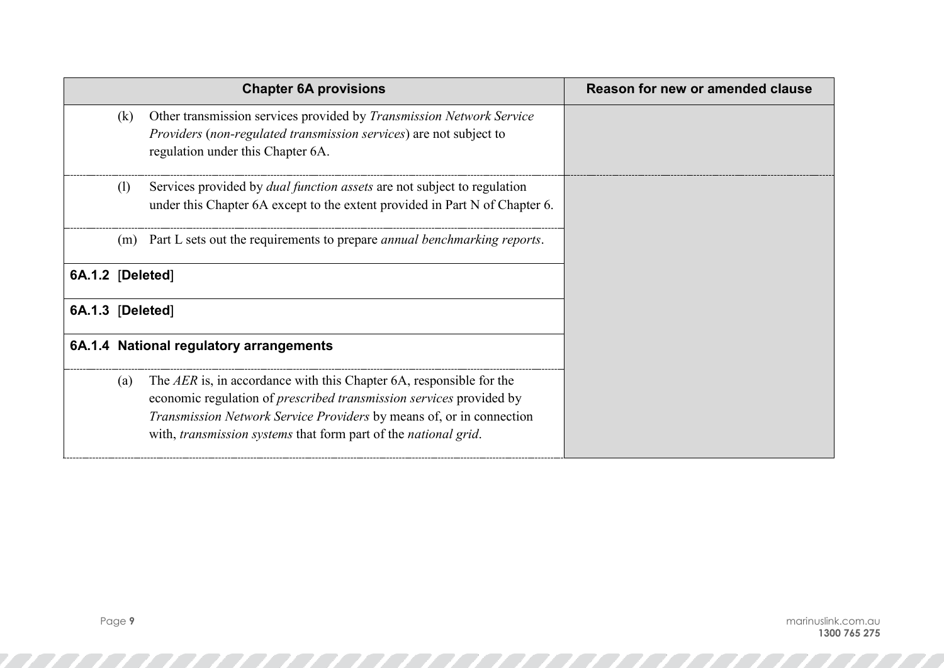|                  |     | <b>Chapter 6A provisions</b>                                                                                                                                                                                                                                                                                       | Reason for new or amended clause |
|------------------|-----|--------------------------------------------------------------------------------------------------------------------------------------------------------------------------------------------------------------------------------------------------------------------------------------------------------------------|----------------------------------|
|                  | (k) | Other transmission services provided by <i>Transmission Network Service</i><br><i>Providers (non-regulated transmission services)</i> are not subject to<br>regulation under this Chapter 6A.                                                                                                                      |                                  |
|                  | (1) | Services provided by <i>dual function assets</i> are not subject to regulation<br>under this Chapter 6A except to the extent provided in Part N of Chapter 6.                                                                                                                                                      |                                  |
|                  |     | (m) Part L sets out the requirements to prepare <i>annual benchmarking reports</i> .                                                                                                                                                                                                                               |                                  |
| 6A.1.2 [Deleted] |     |                                                                                                                                                                                                                                                                                                                    |                                  |
| 6A.1.3 [Deleted] |     |                                                                                                                                                                                                                                                                                                                    |                                  |
|                  |     | 6A.1.4 National regulatory arrangements                                                                                                                                                                                                                                                                            |                                  |
|                  | (a) | The AER is, in accordance with this Chapter 6A, responsible for the<br>economic regulation of <i>prescribed transmission services</i> provided by<br><i>Transmission Network Service Providers</i> by means of, or in connection<br>with, <i>transmission systems</i> that form part of the <i>national grid</i> . |                                  |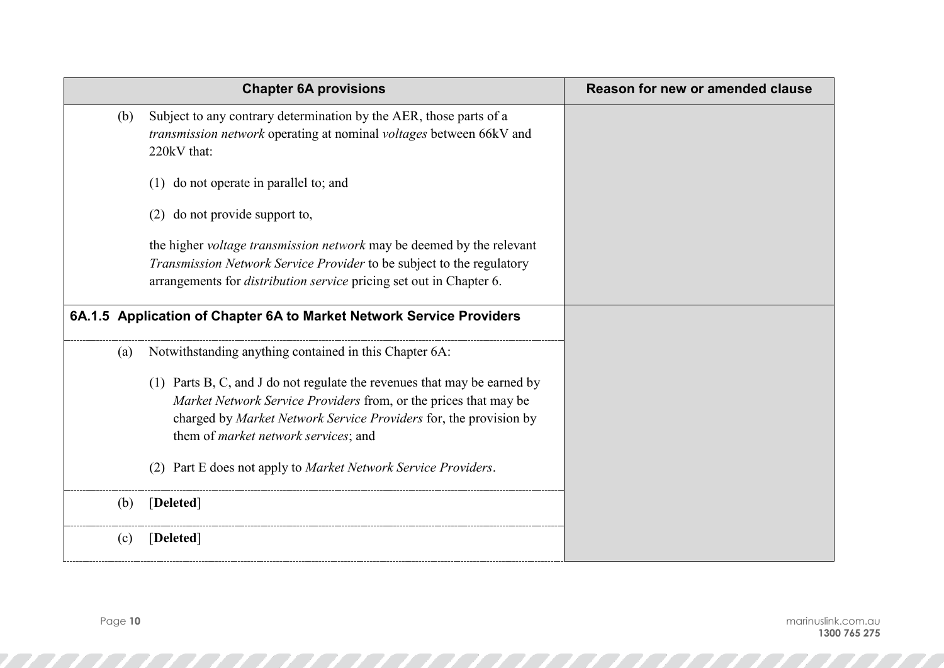|     | <b>Chapter 6A provisions</b>                                                                                                                                                                                                                                                                                                        | Reason for new or amended clause |
|-----|-------------------------------------------------------------------------------------------------------------------------------------------------------------------------------------------------------------------------------------------------------------------------------------------------------------------------------------|----------------------------------|
| (b) | Subject to any contrary determination by the AER, those parts of a<br>transmission network operating at nominal voltages between 66kV and<br>220kV that:                                                                                                                                                                            |                                  |
|     | do not operate in parallel to; and<br>(1)                                                                                                                                                                                                                                                                                           |                                  |
|     | do not provide support to,<br>(2)                                                                                                                                                                                                                                                                                                   |                                  |
|     | the higher <i>voltage transmission network</i> may be deemed by the relevant<br>Transmission Network Service Provider to be subject to the regulatory<br>arrangements for <i>distribution service</i> pricing set out in Chapter 6.                                                                                                 |                                  |
|     | 6A.1.5 Application of Chapter 6A to Market Network Service Providers                                                                                                                                                                                                                                                                |                                  |
| (a) | Notwithstanding anything contained in this Chapter 6A:                                                                                                                                                                                                                                                                              |                                  |
|     | (1) Parts B, C, and J do not regulate the revenues that may be earned by<br>Market Network Service Providers from, or the prices that may be<br>charged by Market Network Service Providers for, the provision by<br>them of <i>market network services</i> ; and<br>(2) Part E does not apply to Market Network Service Providers. |                                  |
| (b) | [Deleted]                                                                                                                                                                                                                                                                                                                           |                                  |
| (c) | [Deleted]                                                                                                                                                                                                                                                                                                                           |                                  |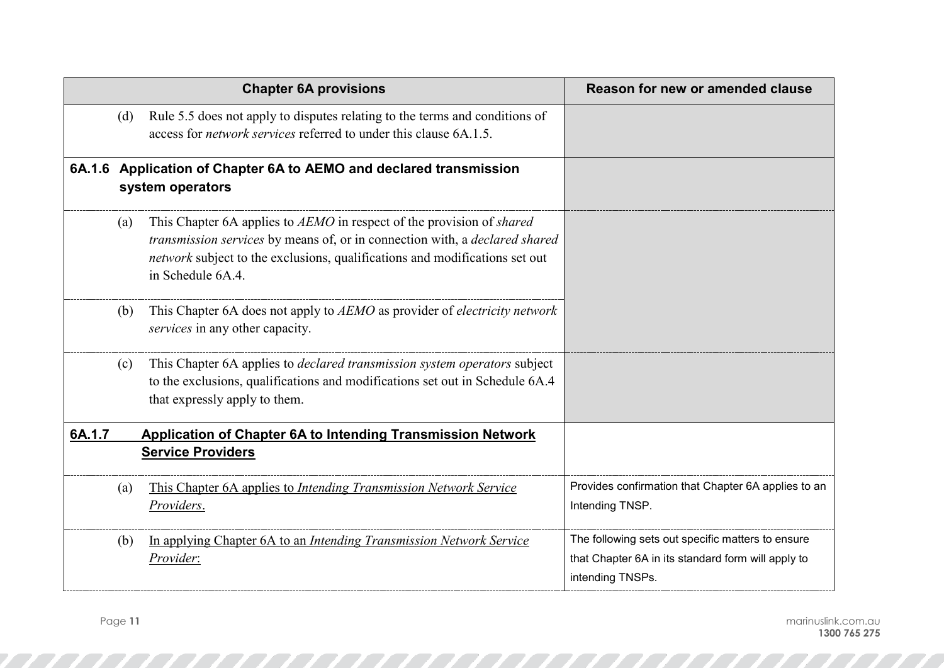|        |     | <b>Chapter 6A provisions</b>                                                                                                                                                                                                                             | Reason for new or amended clause                                                                                            |
|--------|-----|----------------------------------------------------------------------------------------------------------------------------------------------------------------------------------------------------------------------------------------------------------|-----------------------------------------------------------------------------------------------------------------------------|
|        | (d) | Rule 5.5 does not apply to disputes relating to the terms and conditions of<br>access for <i>network services</i> referred to under this clause 6A.1.5.                                                                                                  |                                                                                                                             |
|        |     | 6A.1.6 Application of Chapter 6A to AEMO and declared transmission<br>system operators                                                                                                                                                                   |                                                                                                                             |
|        | (a) | This Chapter 6A applies to AEMO in respect of the provision of shared<br>transmission services by means of, or in connection with, a declared shared<br>network subject to the exclusions, qualifications and modifications set out<br>in Schedule 6A.4. |                                                                                                                             |
|        | (b) | This Chapter 6A does not apply to AEMO as provider of <i>electricity network</i><br>services in any other capacity.                                                                                                                                      |                                                                                                                             |
|        | (c) | This Chapter 6A applies to <i>declared transmission system operators</i> subject<br>to the exclusions, qualifications and modifications set out in Schedule 6A.4<br>that expressly apply to them.                                                        |                                                                                                                             |
| 6A.1.7 |     | <b>Application of Chapter 6A to Intending Transmission Network</b>                                                                                                                                                                                       |                                                                                                                             |
|        |     | <b>Service Providers</b>                                                                                                                                                                                                                                 |                                                                                                                             |
|        | (a) | This Chapter 6A applies to Intending Transmission Network Service<br>Providers.                                                                                                                                                                          | Provides confirmation that Chapter 6A applies to an<br>Intending TNSP.                                                      |
|        | (b) | In applying Chapter 6A to an Intending Transmission Network Service<br>Provider:                                                                                                                                                                         | The following sets out specific matters to ensure<br>that Chapter 6A in its standard form will apply to<br>intending TNSPs. |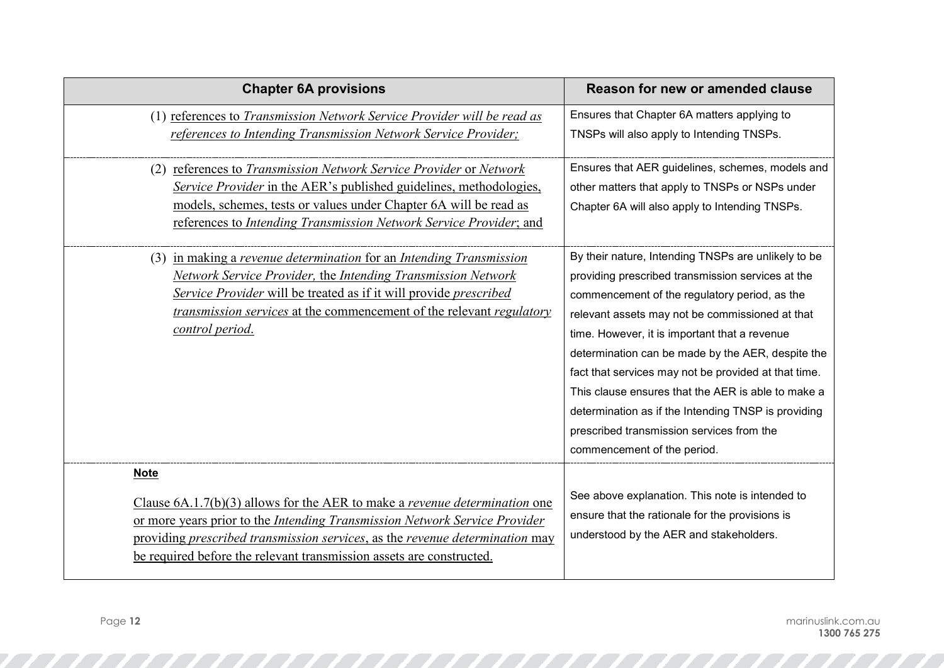| <b>Chapter 6A provisions</b>                                                                                                                                                                                                                                                                                                             | Reason for new or amended clause                                                                                                                                                                                                                                                                                                                                                                                                                                                                                                                                    |
|------------------------------------------------------------------------------------------------------------------------------------------------------------------------------------------------------------------------------------------------------------------------------------------------------------------------------------------|---------------------------------------------------------------------------------------------------------------------------------------------------------------------------------------------------------------------------------------------------------------------------------------------------------------------------------------------------------------------------------------------------------------------------------------------------------------------------------------------------------------------------------------------------------------------|
| (1) references to Transmission Network Service Provider will be read as<br>references to Intending Transmission Network Service Provider;                                                                                                                                                                                                | Ensures that Chapter 6A matters applying to<br>TNSPs will also apply to Intending TNSPs.                                                                                                                                                                                                                                                                                                                                                                                                                                                                            |
| (2) references to Transmission Network Service Provider or Network<br>Service Provider in the AER's published guidelines, methodologies,<br>models, schemes, tests or values under Chapter 6A will be read as<br>references to Intending Transmission Network Service Provider; and                                                      | Ensures that AER guidelines, schemes, models and<br>other matters that apply to TNSPs or NSPs under<br>Chapter 6A will also apply to Intending TNSPs.                                                                                                                                                                                                                                                                                                                                                                                                               |
| (3) in making a revenue determination for an Intending Transmission<br>Network Service Provider, the Intending Transmission Network<br>Service Provider will be treated as if it will provide prescribed<br>transmission services at the commencement of the relevant regulatory<br>control period.                                      | By their nature, Intending TNSPs are unlikely to be<br>providing prescribed transmission services at the<br>commencement of the regulatory period, as the<br>relevant assets may not be commissioned at that<br>time. However, it is important that a revenue<br>determination can be made by the AER, despite the<br>fact that services may not be provided at that time.<br>This clause ensures that the AER is able to make a<br>determination as if the Intending TNSP is providing<br>prescribed transmission services from the<br>commencement of the period. |
| <b>Note</b><br>Clause $6A.1.7(b)(3)$ allows for the AER to make a <i>revenue determination</i> one<br>or more years prior to the Intending Transmission Network Service Provider<br>providing prescribed transmission services, as the revenue determination may<br>be required before the relevant transmission assets are constructed. | See above explanation. This note is intended to<br>ensure that the rationale for the provisions is<br>understood by the AER and stakeholders.                                                                                                                                                                                                                                                                                                                                                                                                                       |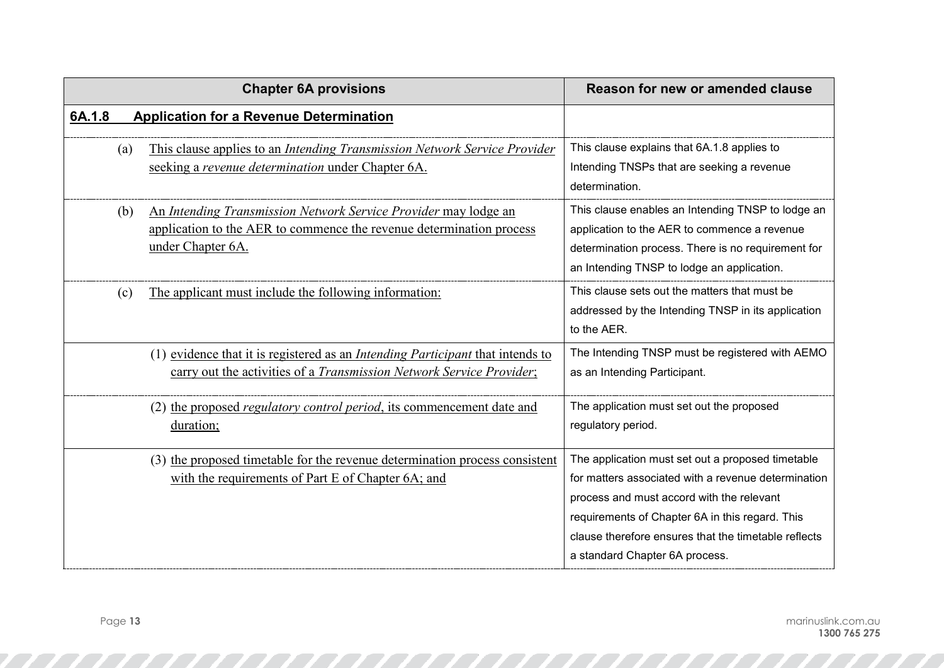|        | <b>Chapter 6A provisions</b>                                                                                                                                  | Reason for new or amended clause                                                                                                                                                                                                                                                                   |
|--------|---------------------------------------------------------------------------------------------------------------------------------------------------------------|----------------------------------------------------------------------------------------------------------------------------------------------------------------------------------------------------------------------------------------------------------------------------------------------------|
| 6A.1.8 | <b>Application for a Revenue Determination</b>                                                                                                                |                                                                                                                                                                                                                                                                                                    |
| (a)    | This clause applies to an Intending Transmission Network Service Provider<br>seeking a revenue determination under Chapter 6A.                                | This clause explains that 6A.1.8 applies to<br>Intending TNSPs that are seeking a revenue<br>determination.                                                                                                                                                                                        |
| (b)    | An Intending Transmission Network Service Provider may lodge an<br>application to the AER to commence the revenue determination process<br>under Chapter 6A.  | This clause enables an Intending TNSP to lodge an<br>application to the AER to commence a revenue<br>determination process. There is no requirement for<br>an Intending TNSP to lodge an application.                                                                                              |
| (c)    | The applicant must include the following information:                                                                                                         | This clause sets out the matters that must be<br>addressed by the Intending TNSP in its application<br>to the AER.                                                                                                                                                                                 |
|        | (1) evidence that it is registered as an <i>Intending Participant</i> that intends to<br>carry out the activities of a Transmission Network Service Provider; | The Intending TNSP must be registered with AEMO<br>as an Intending Participant.                                                                                                                                                                                                                    |
|        | (2) the proposed regulatory control period, its commencement date and<br>duration;                                                                            | The application must set out the proposed<br>regulatory period.                                                                                                                                                                                                                                    |
|        | (3) the proposed timetable for the revenue determination process consistent<br>with the requirements of Part E of Chapter 6A; and                             | The application must set out a proposed timetable<br>for matters associated with a revenue determination<br>process and must accord with the relevant<br>requirements of Chapter 6A in this regard. This<br>clause therefore ensures that the timetable reflects<br>a standard Chapter 6A process. |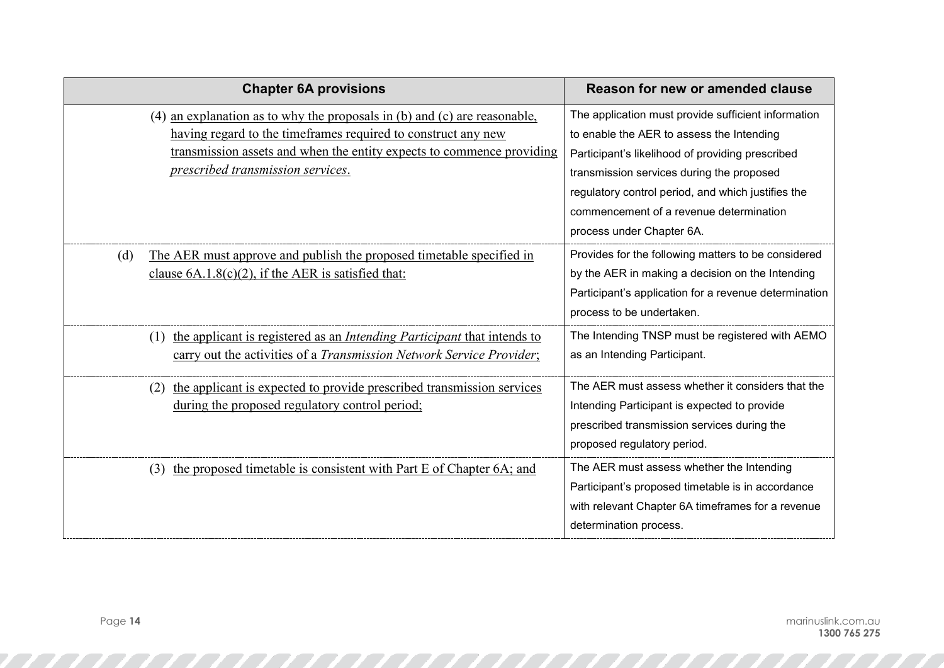| <b>Chapter 6A provisions</b>                                                                                                                                                                                                                                                     | Reason for new or amended clause                                                                                                                                                                                                                                                                                                |
|----------------------------------------------------------------------------------------------------------------------------------------------------------------------------------------------------------------------------------------------------------------------------------|---------------------------------------------------------------------------------------------------------------------------------------------------------------------------------------------------------------------------------------------------------------------------------------------------------------------------------|
| an explanation as to why the proposals in (b) and (c) are reasonable,<br>(4)<br>having regard to the timeframes required to construct any new<br>transmission assets and when the entity expects to commence providing<br><i><u><b>prescribed transmission services.</b></u></i> | The application must provide sufficient information<br>to enable the AER to assess the Intending<br>Participant's likelihood of providing prescribed<br>transmission services during the proposed<br>regulatory control period, and which justifies the<br>commencement of a revenue determination<br>process under Chapter 6A. |
| The AER must approve and publish the proposed timetable specified in<br>(d)<br>clause $6A.1.8(c)(2)$ , if the AER is satisfied that:                                                                                                                                             | Provides for the following matters to be considered<br>by the AER in making a decision on the Intending<br>Participant's application for a revenue determination<br>process to be undertaken.                                                                                                                                   |
| the applicant is registered as an <i>Intending Participant</i> that intends to<br>(1)<br>carry out the activities of a Transmission Network Service Provider;                                                                                                                    | The Intending TNSP must be registered with AEMO<br>as an Intending Participant.                                                                                                                                                                                                                                                 |
| the applicant is expected to provide prescribed transmission services<br>(2)<br>during the proposed regulatory control period;                                                                                                                                                   | The AER must assess whether it considers that the<br>Intending Participant is expected to provide<br>prescribed transmission services during the<br>proposed regulatory period.                                                                                                                                                 |
| the proposed timetable is consistent with Part E of Chapter 6A; and<br>(3)                                                                                                                                                                                                       | The AER must assess whether the Intending<br>Participant's proposed timetable is in accordance<br>with relevant Chapter 6A timeframes for a revenue<br>determination process.                                                                                                                                                   |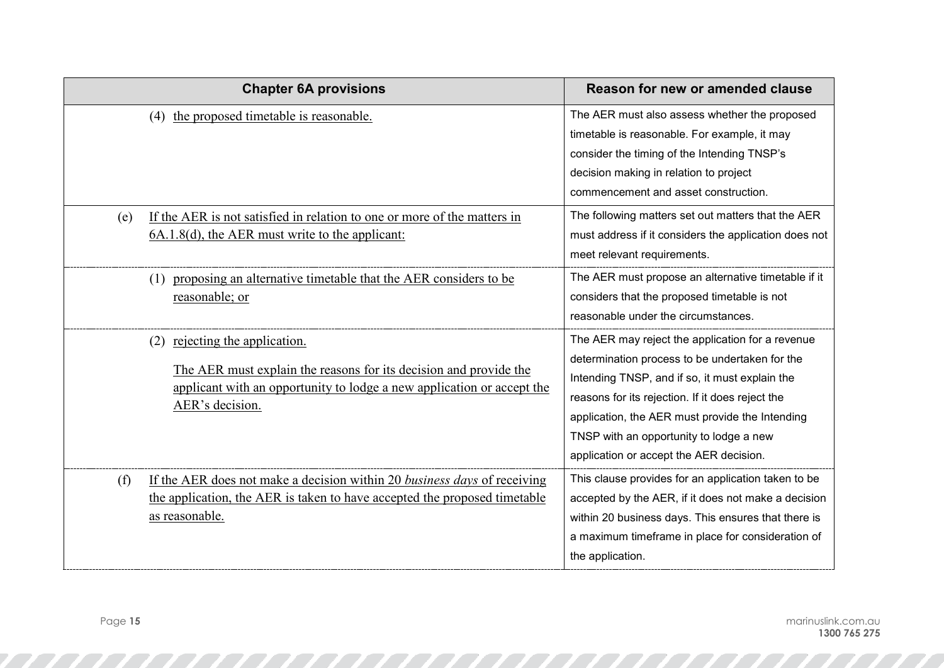| <b>Chapter 6A provisions</b>                                                                                                                                                                        | Reason for new or amended clause                                                                                                                                                                                                                                                                                                                  |
|-----------------------------------------------------------------------------------------------------------------------------------------------------------------------------------------------------|---------------------------------------------------------------------------------------------------------------------------------------------------------------------------------------------------------------------------------------------------------------------------------------------------------------------------------------------------|
| the proposed timetable is reasonable.<br>(4)                                                                                                                                                        | The AER must also assess whether the proposed<br>timetable is reasonable. For example, it may<br>consider the timing of the Intending TNSP's<br>decision making in relation to project<br>commencement and asset construction.                                                                                                                    |
| If the AER is not satisfied in relation to one or more of the matters in<br>(e)<br>$6A.1.8(d)$ , the AER must write to the applicant:                                                               | The following matters set out matters that the AER<br>must address if it considers the application does not<br>meet relevant requirements.                                                                                                                                                                                                        |
| proposing an alternative timetable that the AER considers to be<br>(1)<br>reasonable; or                                                                                                            | The AER must propose an alternative timetable if it<br>considers that the proposed timetable is not<br>reasonable under the circumstances.                                                                                                                                                                                                        |
| rejecting the application.<br>(2)<br>The AER must explain the reasons for its decision and provide the<br>applicant with an opportunity to lodge a new application or accept the<br>AER's decision. | The AER may reject the application for a revenue<br>determination process to be undertaken for the<br>Intending TNSP, and if so, it must explain the<br>reasons for its rejection. If it does reject the<br>application, the AER must provide the Intending<br>TNSP with an opportunity to lodge a new<br>application or accept the AER decision. |
| If the AER does not make a decision within 20 business days of receiving<br>(f)<br>the application, the AER is taken to have accepted the proposed timetable<br>as reasonable.                      | This clause provides for an application taken to be<br>accepted by the AER, if it does not make a decision<br>within 20 business days. This ensures that there is<br>a maximum timeframe in place for consideration of<br>the application.                                                                                                        |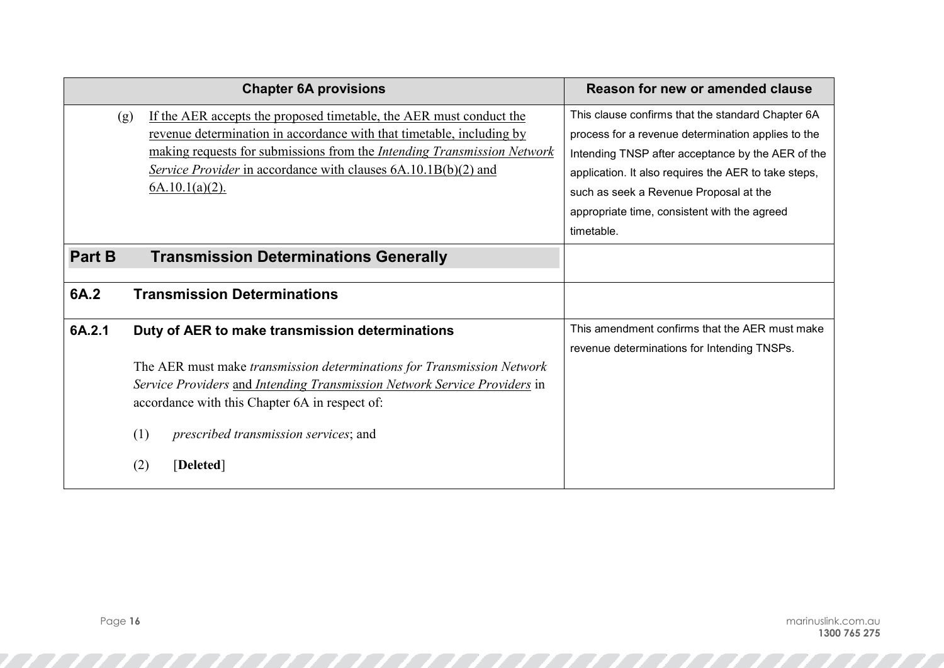|               | <b>Chapter 6A provisions</b>                                                                                                                                                                                                                                                                                                 | Reason for new or amended clause                                                                                                                                                                                                                                                                                             |
|---------------|------------------------------------------------------------------------------------------------------------------------------------------------------------------------------------------------------------------------------------------------------------------------------------------------------------------------------|------------------------------------------------------------------------------------------------------------------------------------------------------------------------------------------------------------------------------------------------------------------------------------------------------------------------------|
| (g)           | If the AER accepts the proposed timetable, the AER must conduct the<br>revenue determination in accordance with that timetable, including by<br>making requests for submissions from the Intending Transmission Network<br><i><u>Service Provider in accordance with clauses 6A.10.1B(b)(2) and</u></i><br>$6A.10.1(a)(2)$ . | This clause confirms that the standard Chapter 6A<br>process for a revenue determination applies to the<br>Intending TNSP after acceptance by the AER of the<br>application. It also requires the AER to take steps,<br>such as seek a Revenue Proposal at the<br>appropriate time, consistent with the agreed<br>timetable. |
| <b>Part B</b> | <b>Transmission Determinations Generally</b>                                                                                                                                                                                                                                                                                 |                                                                                                                                                                                                                                                                                                                              |
| 6A.2          | <b>Transmission Determinations</b>                                                                                                                                                                                                                                                                                           |                                                                                                                                                                                                                                                                                                                              |
| 6A.2.1        | Duty of AER to make transmission determinations<br>The AER must make transmission determinations for Transmission Network<br>Service Providers and Intending Transmission Network Service Providers in<br>accordance with this Chapter 6A in respect of:<br>prescribed transmission services; and<br>(1)<br>[Deleted]<br>(2) | This amendment confirms that the AER must make<br>revenue determinations for Intending TNSPs.                                                                                                                                                                                                                                |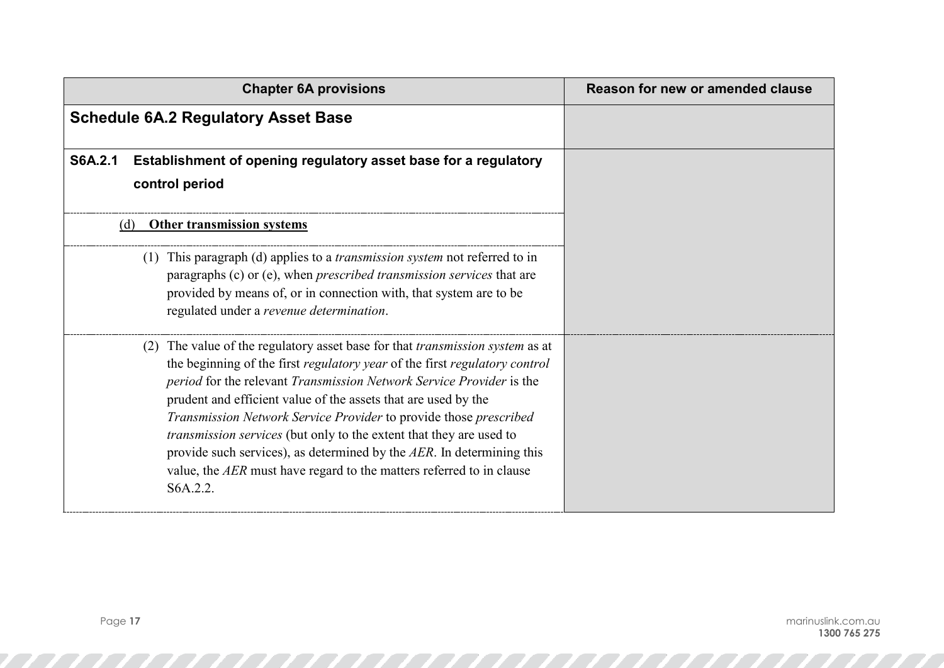| <b>Chapter 6A provisions</b>                                                                                                                                                                                                                                                                                                                                                                                                                                                                                                                                                                                               | Reason for new or amended clause |
|----------------------------------------------------------------------------------------------------------------------------------------------------------------------------------------------------------------------------------------------------------------------------------------------------------------------------------------------------------------------------------------------------------------------------------------------------------------------------------------------------------------------------------------------------------------------------------------------------------------------------|----------------------------------|
| <b>Schedule 6A.2 Regulatory Asset Base</b>                                                                                                                                                                                                                                                                                                                                                                                                                                                                                                                                                                                 |                                  |
| <b>S6A.2.1</b><br>Establishment of opening regulatory asset base for a regulatory<br>control period                                                                                                                                                                                                                                                                                                                                                                                                                                                                                                                        |                                  |
| <b>Other transmission systems</b><br>(d)                                                                                                                                                                                                                                                                                                                                                                                                                                                                                                                                                                                   |                                  |
| (1) This paragraph (d) applies to a <i>transmission system</i> not referred to in<br>paragraphs (c) or (e), when <i>prescribed transmission services</i> that are<br>provided by means of, or in connection with, that system are to be<br>regulated under a revenue determination.                                                                                                                                                                                                                                                                                                                                        |                                  |
| (2) The value of the regulatory asset base for that <i>transmission system</i> as at<br>the beginning of the first regulatory year of the first regulatory control<br>period for the relevant Transmission Network Service Provider is the<br>prudent and efficient value of the assets that are used by the<br>Transmission Network Service Provider to provide those prescribed<br>transmission services (but only to the extent that they are used to<br>provide such services), as determined by the $AER$ . In determining this<br>value, the $AER$ must have regard to the matters referred to in clause<br>S6A.2.2. |                                  |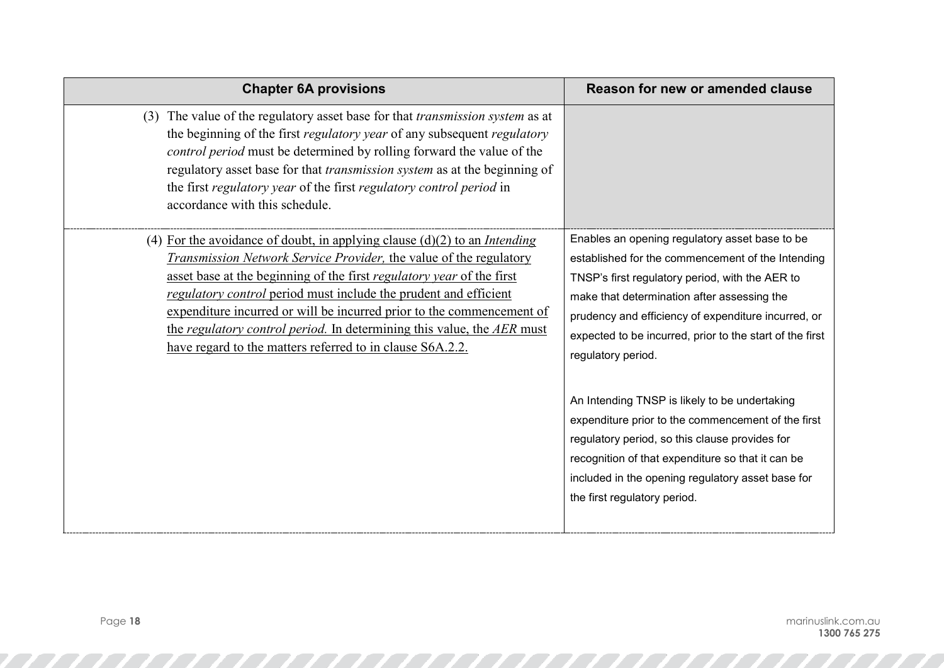| <b>Chapter 6A provisions</b>                                                                                                                                                                                                                                                                                                                                                                                                                                                                                          | Reason for new or amended clause                                                                                                                                                                                                                                                                                                               |
|-----------------------------------------------------------------------------------------------------------------------------------------------------------------------------------------------------------------------------------------------------------------------------------------------------------------------------------------------------------------------------------------------------------------------------------------------------------------------------------------------------------------------|------------------------------------------------------------------------------------------------------------------------------------------------------------------------------------------------------------------------------------------------------------------------------------------------------------------------------------------------|
| (3) The value of the regulatory asset base for that <i>transmission system</i> as at<br>the beginning of the first regulatory year of any subsequent regulatory<br>control period must be determined by rolling forward the value of the<br>regulatory asset base for that <i>transmission system</i> as at the beginning of<br>the first regulatory year of the first regulatory control period in<br>accordance with this schedule.                                                                                 |                                                                                                                                                                                                                                                                                                                                                |
| (4) For the avoidance of doubt, in applying clause $(d)(2)$ to an <i>Intending</i><br>Transmission Network Service Provider, the value of the regulatory<br>asset base at the beginning of the first regulatory year of the first<br>regulatory control period must include the prudent and efficient<br>expenditure incurred or will be incurred prior to the commencement of<br>the regulatory control period. In determining this value, the AER must<br>have regard to the matters referred to in clause S6A.2.2. | Enables an opening regulatory asset base to be<br>established for the commencement of the Intending<br>TNSP's first regulatory period, with the AER to<br>make that determination after assessing the<br>prudency and efficiency of expenditure incurred, or<br>expected to be incurred, prior to the start of the first<br>regulatory period. |
|                                                                                                                                                                                                                                                                                                                                                                                                                                                                                                                       | An Intending TNSP is likely to be undertaking<br>expenditure prior to the commencement of the first<br>regulatory period, so this clause provides for<br>recognition of that expenditure so that it can be<br>included in the opening regulatory asset base for<br>the first regulatory period.                                                |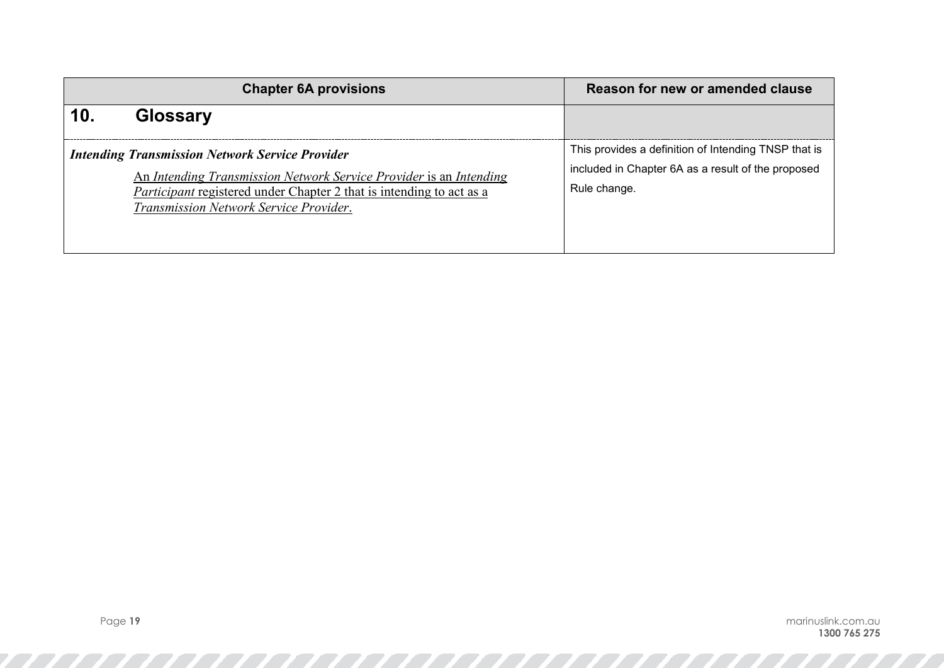| <b>Chapter 6A provisions</b> |                                                                                                                                                                                                                                                | Reason for new or amended clause                                                                                           |
|------------------------------|------------------------------------------------------------------------------------------------------------------------------------------------------------------------------------------------------------------------------------------------|----------------------------------------------------------------------------------------------------------------------------|
| <b>Glossary</b>              |                                                                                                                                                                                                                                                |                                                                                                                            |
|                              | <b>Intending Transmission Network Service Provider</b><br>An Intending Transmission Network Service Provider is an Intending<br>Participant registered under Chapter 2 that is intending to act as a<br>Transmission Network Service Provider. | This provides a definition of Intending TNSP that is<br>included in Chapter 6A as a result of the proposed<br>Rule change. |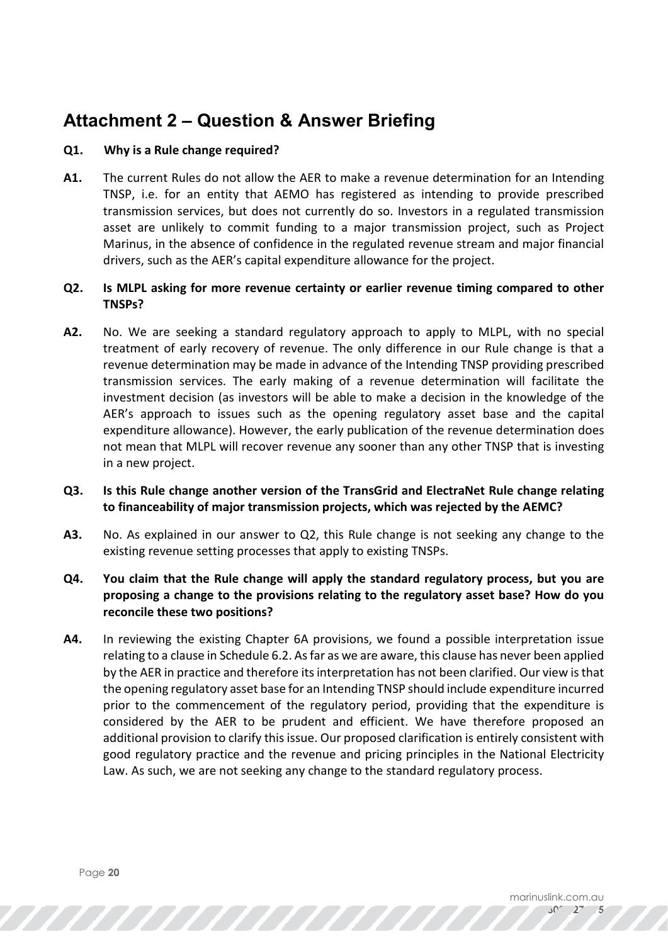# **Attachment 2 – Question & Answer Briefing**

## **Q1. Why is a Rule change required?**

**A1.** The current Rules do not allow the AER to make a revenue determination for an Intending TNSP, i.e. for an entity that AEMO has registered as intending to provide prescribed transmission services, but does not currently do so. Investors in a regulated transmission asset are unlikely to commit funding to a major transmission project, such as Project Marinus, in the absence of confidence in the regulated revenue stream and major financial drivers, such as the AER's capital expenditure allowance for the project.

## **Q2. Is MLPL asking for more revenue certainty or earlier revenue timing compared to other TNSPs?**

- **A2.** No. We are seeking a standard regulatory approach to apply to MLPL, with no special treatment of early recovery of revenue. The only difference in our Rule change is that a revenue determination may be made in advance of the Intending TNSP providing prescribed transmission services. The early making of a revenue determination will facilitate the investment decision (as investors will be able to make a decision in the knowledge of the AER's approach to issues such as the opening regulatory asset base and the capital expenditure allowance). However, the early publication of the revenue determination does not mean that MLPL will recover revenue any sooner than any other TNSP that is investing in a new project.
- **Q3. Is this Rule change another version of the TransGrid and ElectraNet Rule change relating to financeability of major transmission projects, which was rejected by the AEMC?**
- **A3.** No. As explained in our answer to Q2, this Rule change is not seeking any change to the existing revenue setting processes that apply to existing TNSPs.
- **Q4. You claim that the Rule change will apply the standard regulatory process, but you are proposing a change to the provisions relating to the regulatory asset base? How do you reconcile these two positions?**
- **A4.** In reviewing the existing Chapter 6A provisions, we found a possible interpretation issue relating to a clause in Schedule 6.2. As far as we are aware, this clause has never been applied by the AER in practice and therefore its interpretation has not been clarified. Our view is that the opening regulatory asset base for an Intending TNSP should include expenditure incurred prior to the commencement of the regulatory period, providing that the expenditure is considered by the AER to be prudent and efficient. We have therefore proposed an additional provision to clarify this issue. Our proposed clarification is entirely consistent with good regulatory practice and the revenue and pricing principles in the National Electricity Law. As such, we are not seeking any change to the standard regulatory process.